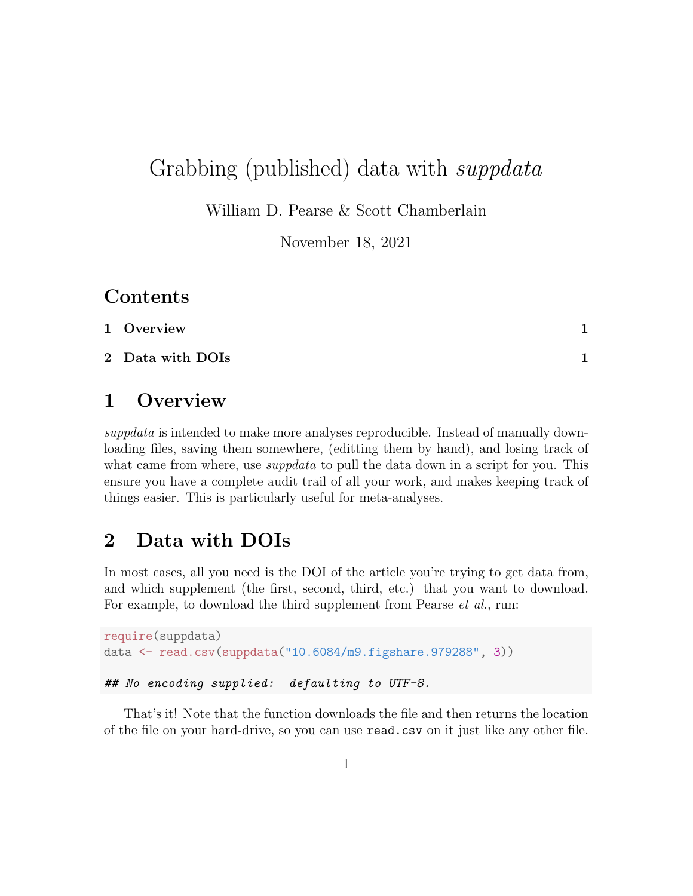## Grabbing (published) data with *suppdata*

William D. Pearse & Scott Chamberlain

November 18, 2021

## Contents

| 1 Overview       |  |
|------------------|--|
| 2 Data with DOIs |  |

#### <span id="page-0-0"></span>1 Overview

suppdata is intended to make more analyses reproducible. Instead of manually downloading files, saving them somewhere, (editting them by hand), and losing track of what came from where, use *suppdata* to pull the data down in a script for you. This ensure you have a complete audit trail of all your work, and makes keeping track of things easier. This is particularly useful for meta-analyses.

## <span id="page-0-1"></span>2 Data with DOIs

In most cases, all you need is the DOI of the article you're trying to get data from, and which supplement (the first, second, third, etc.) that you want to download. For example, to download the third supplement from Pearse *et al.*, run:

```
require(suppdata)
data <- read.csv(suppdata("10.6084/m9.figshare.979288", 3))
## No encoding supplied: defaulting to UTF-8.
```
That's it! Note that the function downloads the file and then returns the location of the file on your hard-drive, so you can use read.csv on it just like any other file.